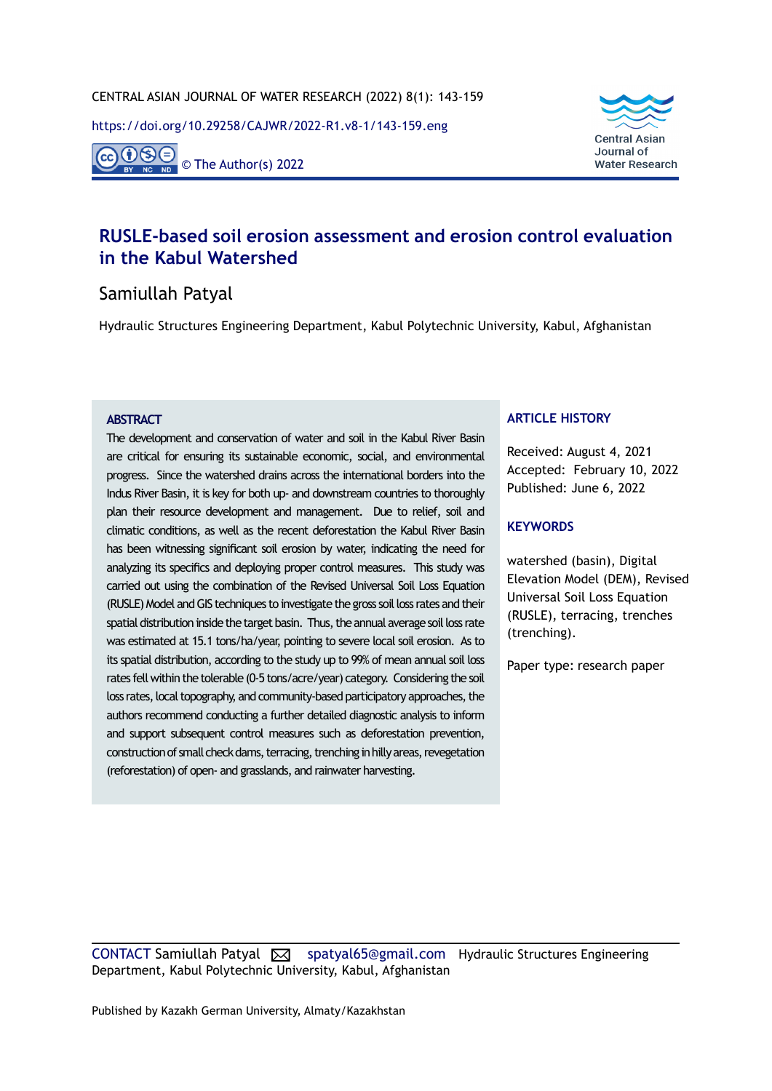<https://doi.org/10.29258/CAJWR/2022-R1.v8-1/143-159.eng>

 $O(S)$ © The Author(s) 2022



# **RUSLE-based soil erosion assessment and erosion control evaluation in the Kabul Watershed**

## Samiullah Patyal

Hydraulic Structures Engineering Department, Kabul Polytechnic University, Kabul, Afghanistan

#### **ABSTRACT**

The development and conservation of water and soil in the Kabul River Basin are critical for ensuring its sustainable economic, social, and environmental progress. Since the watershed drains across the international borders into the Indus River Basin, it is key for both up- and downstream countries to thoroughly plan their resource development and management. Due to relief, soil and climatic conditions, as well as the recent deforestation the Kabul River Basin has been witnessing significant soil erosion by water, indicating the need for analyzing its specifics and deploying proper control measures. This study was carried out using the combination of the Revised Universal Soil Loss Equation (RUSLE) Model and GIS techniques to investigate the gross soil loss rates and their spatial distribution inside the target basin. Thus, the annual average soil loss rate was estimated at 15.1 tons/ha/year, pointing to severe local soil erosion. As to its spatial distribution, according to the study up to 99% of mean annual soil loss rates fell within the tolerable (0-5 tons/acre/year) category. Considering the soil loss rates, local topography, and community-based participatory approaches, the authors recommend conducting a further detailed diagnostic analysis to inform and support subsequent control measures such as deforestation prevention, construction of small check dams, terracing, trenching in hilly areas, revegetation (reforestation) of open- and grasslands, and rainwater harvesting.

#### **ARTICLE HISTORY**

Received: August 4, 2021 Accepted: February 10, 2022 Published: June 6, 2022

#### **KEYWORDS**

watershed (basin), Digital Elevation Model (DEM), Revised Universal Soil Loss Equation (RUSLE), terracing, trenches (trenching).

Paper type: research paper

CONTACT Samiullah Patyal [X] [spatyal65@gmail.com](mailto:spatyal65@gmail.com) Hydraulic Structures Engineering Department, Kabul Polytechnic University, Kabul, Afghanistan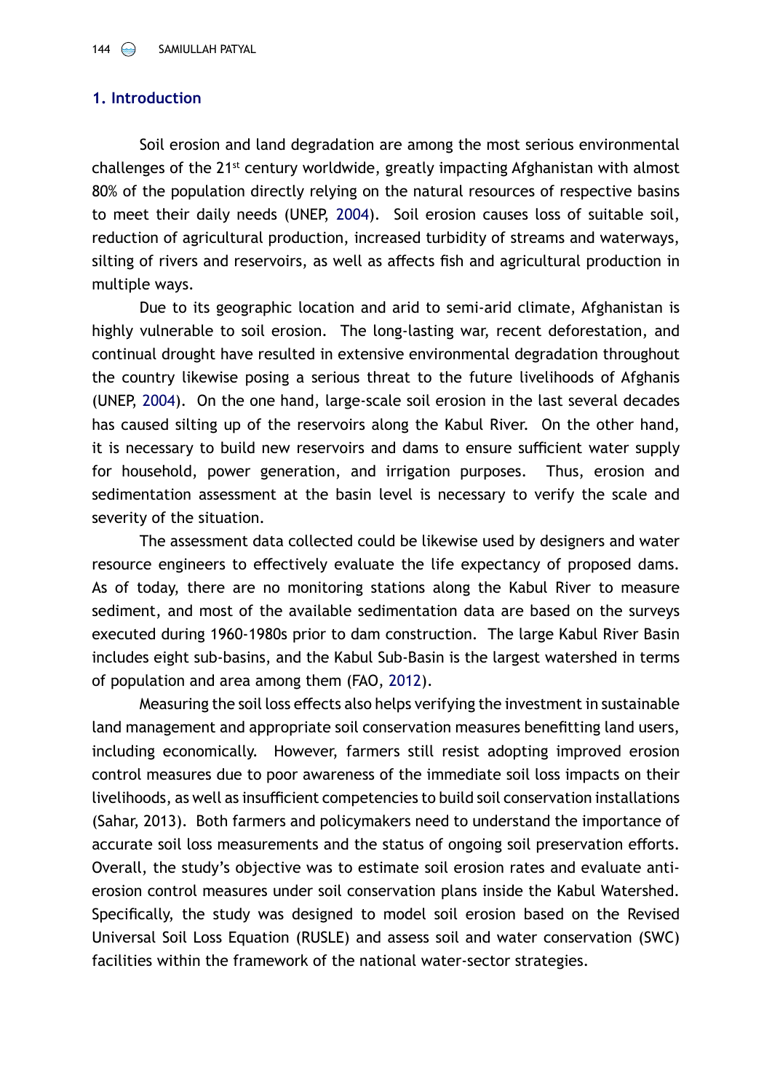### **1. Introduction**

Soil erosion and land degradation are among the most serious environmental challenges of the 21st century worldwide, greatly impacting Afghanistan with almost 80% of the population directly relying on the natural resources of respective basins to meet their daily needs (UNEP, [2004\)](#page-16-0). Soil erosion causes loss of suitable soil, reduction of agricultural production, increased turbidity of streams and waterways, silting of rivers and reservoirs, as well as affects fish and agricultural production in multiple ways.

Due to its geographic location and arid to semi-arid climate, Afghanistan is highly vulnerable to soil erosion. The long-lasting war, recent deforestation, and continual drought have resulted in extensive environmental degradation throughout the country likewise posing a serious threat to the future livelihoods of Afghanis (UNEP, [2004](#page-16-0)). On the one hand, large-scale soil erosion in the last several decades has caused silting up of the reservoirs along the Kabul River. On the other hand, it is necessary to build new reservoirs and dams to ensure sufficient water supply for household, power generation, and irrigation purposes. Thus, erosion and sedimentation assessment at the basin level is necessary to verify the scale and severity of the situation.

The assessment data collected could be likewise used by designers and water resource engineers to effectively evaluate the life expectancy of proposed dams. As of today, there are no monitoring stations along the Kabul River to measure sediment, and most of the available sedimentation data are based on the surveys executed during 1960-1980s prior to dam construction. The large Kabul River Basin includes eight sub-basins, and the Kabul Sub-Basin is the largest watershed in terms of population and area among them (FAO, [2012](#page-15-0)).

Measuring the soil loss effects also helps verifying the investment in sustainable land management and appropriate soil conservation measures benefitting land users, including economically. However, farmers still resist adopting improved erosion control measures due to poor awareness of the immediate soil loss impacts on their livelihoods, as well as insufficient competencies to build soil conservation installations (Sahar, 2013). Both farmers and policymakers need to understand the importance of accurate soil loss measurements and the status of ongoing soil preservation efforts. Overall, the study's objective was to estimate soil erosion rates and evaluate antierosion control measures under soil conservation plans inside the Kabul Watershed. Specifically, the study was designed to model soil erosion based on the Revised Universal Soil Loss Equation (RUSLE) and assess soil and water conservation (SWC) facilities within the framework of the national water-sector strategies.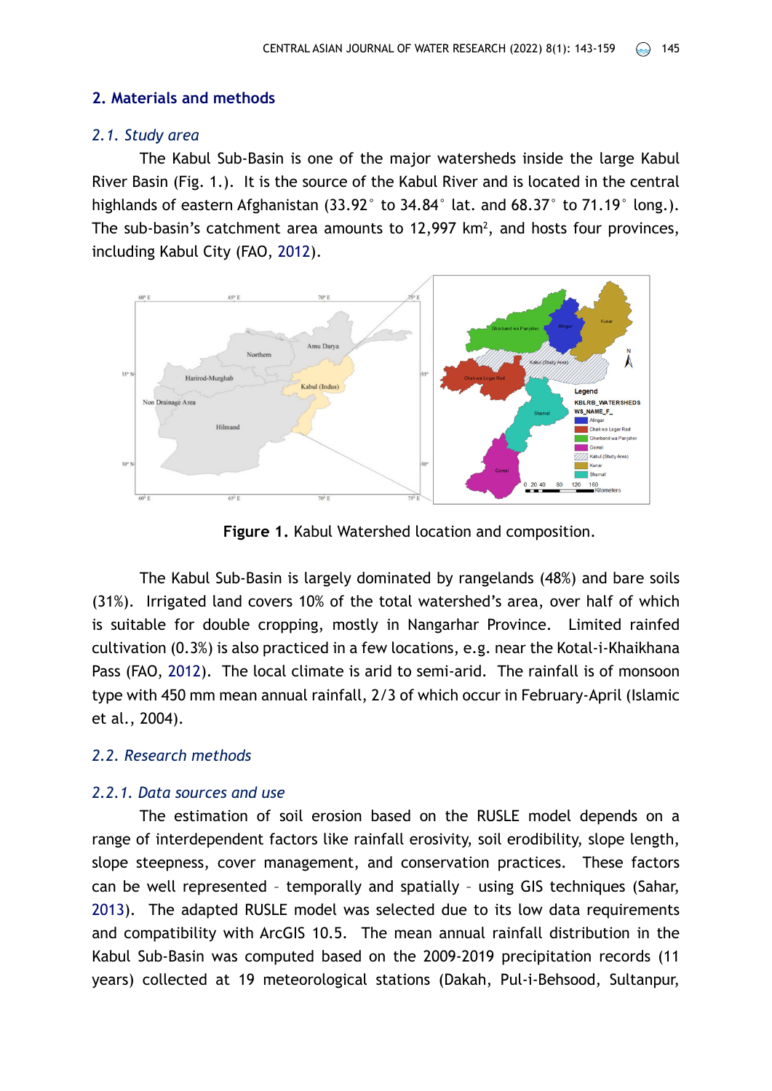### **2. Materials and methods**

### *2.1. Study area*

The Kabul Sub-Basin is one of the major watersheds inside the large Kabul River Basin (Fig. 1.). It is the source of the Kabul River and is located in the central highlands of eastern Afghanistan (33.92° to 34.84° lat. and 68.37° to 71.19° long.). The sub-basin's catchment area amounts to  $12,997$  km<sup>2</sup>, and hosts four provinces, including Kabul City (FAO, [2012](#page-15-0)).



**Figure 1.** Kabul Watershed location and composition.

The Kabul Sub-Basin is largely dominated by rangelands (48%) and bare soils (31%). Irrigated land covers 10% of the total watershed's area, over half of which is suitable for double cropping, mostly in Nangarhar Province. Limited rainfed cultivation (0.3%) is also practiced in a few locations, e.g. near the Kotal-i-Khaikhana Pass (FAO, [2012\)](#page-15-0). The local climate is arid to semi-arid. The rainfall is of monsoon type with 450 mm mean annual rainfall, 2/3 of which occur in February-April (Islamic et al., 2004).

### *2.2. Research methods*

#### *2.2.1. Data sources and use*

The estimation of soil erosion based on the RUSLE model depends on a range of interdependent factors like rainfall erosivity, soil erodibility, slope length, slope steepness, cover management, and conservation practices. These factors can be well represented – temporally and spatially – using GIS techniques (Sahar, [2013](#page-16-1)). The adapted RUSLE model was selected due to its low data requirements and compatibility with ArcGIS 10.5. The mean annual rainfall distribution in the Kabul Sub-Basin was computed based on the 2009-2019 precipitation records (11 years) collected at 19 meteorological stations (Dakah, Pul-i-Behsood, Sultanpur,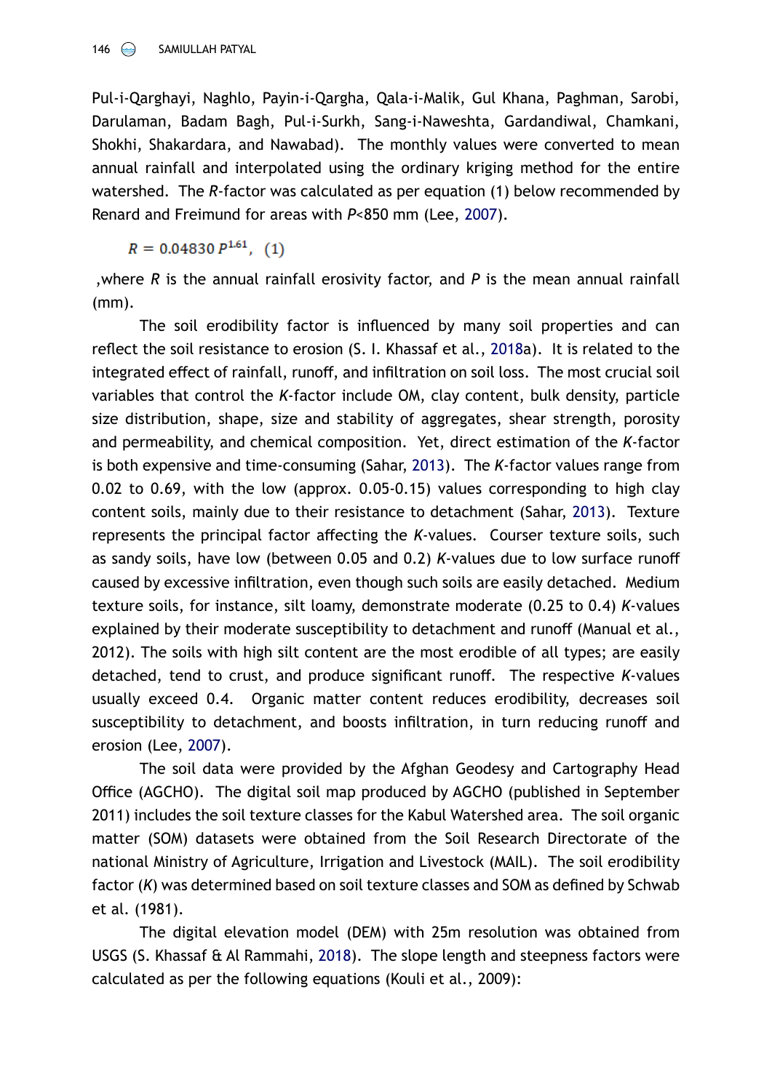Pul-i-Qarghayi, Naghlo, Payin-i-Qargha, Qala-i-Malik, Gul Khana, Paghman, Sarobi, Darulaman, Badam Bagh, Pul-i-Surkh, Sang-i-Naweshta, Gardandiwal, Chamkani, Shokhi, Shakardara, and Nawabad). The monthly values were converted to mean annual rainfall and interpolated using the ordinary kriging method for the entire watershed. The *R*-factor was calculated as per equation (1) below recommended by Renard and Freimund for areas with *P*<850 mm (Lee, [2007\)](#page-15-1).

 $R = 0.04830 P^{1.61}$ , (1)

,where *R* is the annual rainfall erosivity factor, and *P* is the mean annual rainfall (mm).

The soil erodibility factor is influenced by many soil properties and can reflect the soil resistance to erosion (S. I. Khassaf et al., [2018a](#page-15-2)). It is related to the integrated effect of rainfall, runoff, and infiltration on soil loss. The most crucial soil variables that control the *K*-factor include OM, clay content, bulk density, [particle](https://www.sciencedirect.com/topics/earth-and-planetary-sciences/particle-size-distribution) [size distribution,](https://www.sciencedirect.com/topics/earth-and-planetary-sciences/particle-size-distribution) shape, size and stability of aggregates, shear strength, porosity and permeability, and chemical composition. Yet, direct estimation of the *K*-factor is both expensive and time-consuming (Sahar, [2013](#page-16-1)). The *K*-factor values range from 0.02 to 0.69, with the low (approx. 0.05-0.15) values corresponding to high clay content soils, mainly due to their resistance to detachment (Sahar, [2013\)](#page-16-1). Texture represents the principal factor affecting the *K*-values. Courser texture soils, such as sandy soils, have low (between 0.05 and 0.2) *K*-values due to low surface runoff caused by excessive infiltration, even though such soils are easily detached. Medium texture soils, for instance, silt loamy, demonstrate moderate (0.25 to 0.4) *K*-values explained by their moderate susceptibility to detachment and runoff (Manual et al., 2012). The soils with high silt content are the most erodible of all types; are easily detached, tend to crust, and produce significant runoff. The respective *K*-values usually exceed 0.4. Organic matter content reduces erodibility, decreases soil susceptibility to detachment, and boosts infiltration, in turn reducing runoff and erosion (Lee, [2007](#page-15-1)).

The soil data were provided by the Afghan Geodesy and Cartography Head Office (AGCHO). The digital soil map produced by AGCHO (published in September 2011) includes the soil texture classes for the Kabul Watershed area. The soil organic matter (SOM) datasets were obtained from the Soil Research Directorate of the national Ministry of Agriculture, Irrigation and Livestock (MAIL). The soil erodibility factor (*K*) was determined based on soil texture classes and SOM as defined by Schwab et al. (1981).

The digital elevation model (DEM) with 25m resolution was obtained from USGS (S. Khassaf & Al Rammahi, [2018\)](#page-15-2). The slope length and steepness factors were calculated as per the following equations (Kouli et al., 2009):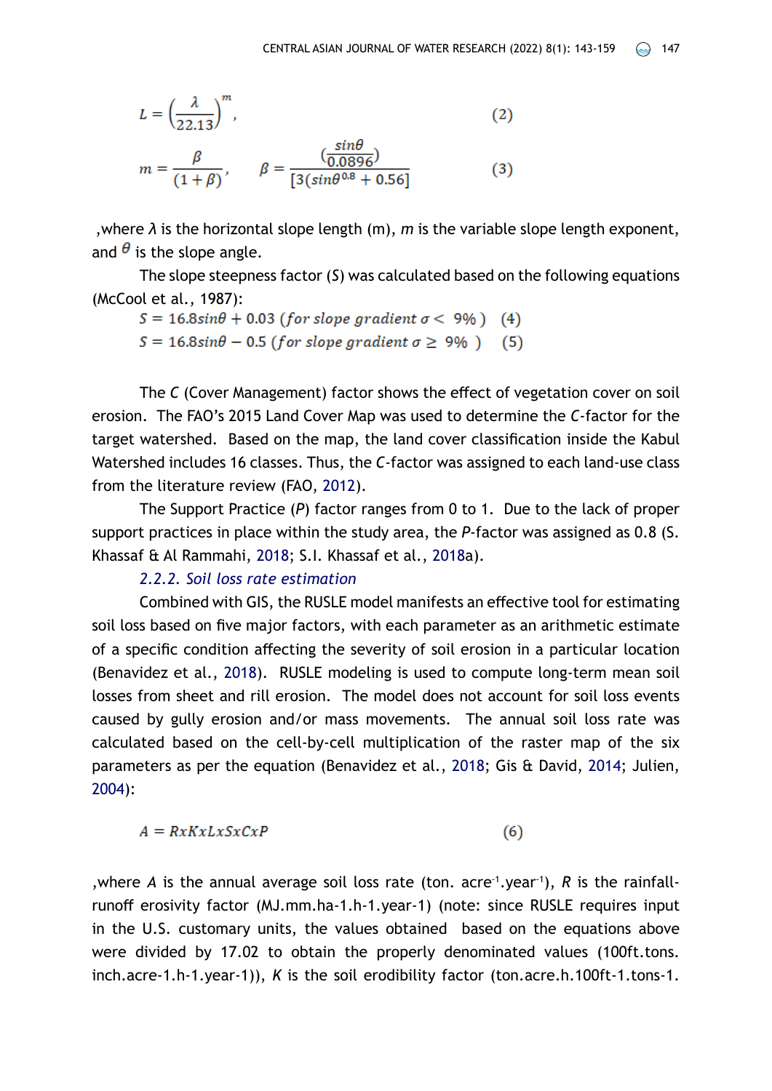$$
L = \left(\frac{\lambda}{22.13}\right)^m,\tag{2}
$$

$$
m = \frac{\beta}{(1+\beta)}, \qquad \beta = \frac{\left(\frac{\sin\theta}{0.0896}\right)}{[3(\sin\theta^{0.8} + 0.56)]}
$$
(3)

,where *λ* is the horizontal slope length (m), *m* is the variable slope length exponent, and  $\theta$  is the slope angle.

The slope steepness factor (*S*) was calculated based on the following equations (McCool et al., 1987):

$$
S = 16.8 \sin\theta + 0.03 \text{ (for slope gradient } \sigma < 9\%) \quad (4)
$$
\n
$$
S = 16.8 \sin\theta - 0.5 \text{ (for slope gradient } \sigma \ge 9\%) \quad (5)
$$

The *C* (Cover Management) factor shows the effect of vegetation cover on soil erosion. The FAO's 2015 Land Cover Map was used to determine the *C*-factor for the target watershed. Based on the map, the land cover classification inside the Kabul Watershed includes 16 classes. Thus, the *C*-factor was assigned to each land-use class from the literature review (FAO, [2012](#page-15-0)).

The Support Practice (*P*) factor ranges from 0 to 1. Due to the lack of proper support practices in place within the study area, the *P*-factor was assigned as 0.8 (S. Khassaf & Al Rammahi, [2018](#page-15-2); S.I. Khassaf et al., [2018a](#page-15-3)).

### *2.2.2. Soil loss rate estimation*

Combined with GIS, the RUSLE model manifests an effective tool for estimating soil loss based on five major factors, with each parameter as an arithmetic estimate of a specific condition affecting the severity of soil erosion in a particular location (Benavidez et al., [2018\)](#page-15-4). RUSLE modeling is used to compute long-term mean soil losses from sheet and rill erosion. The model does not account for soil loss events caused by gully erosion and/or mass movements. The annual soil loss rate was calculated based on the cell-by-cell multiplication of the raster map of the six parameters as per the equation (Benavidez et al., [2018;](#page-15-4) Gis & David, [2014](#page-15-5); Julien, [2004](#page-15-6)):

$$
A = RxKxLxSxCxP
$$
 (6)

, where A is the annual average soil loss rate (ton.  $\arccos 1$ , year<sup>-1</sup>), R is the rainfallrunoff erosivity factor (MJ.mm.ha-1.h-1.year-1) (note: since RUSLE requires input in the U.S. customary units, the values obtained based on the equations above were divided by 17.02 to obtain the properly denominated values (100ft.tons. inch.acre-1.h-1.year-1)), *K* is the soil erodibility factor (ton.acre.h.100ft-1.tons-1.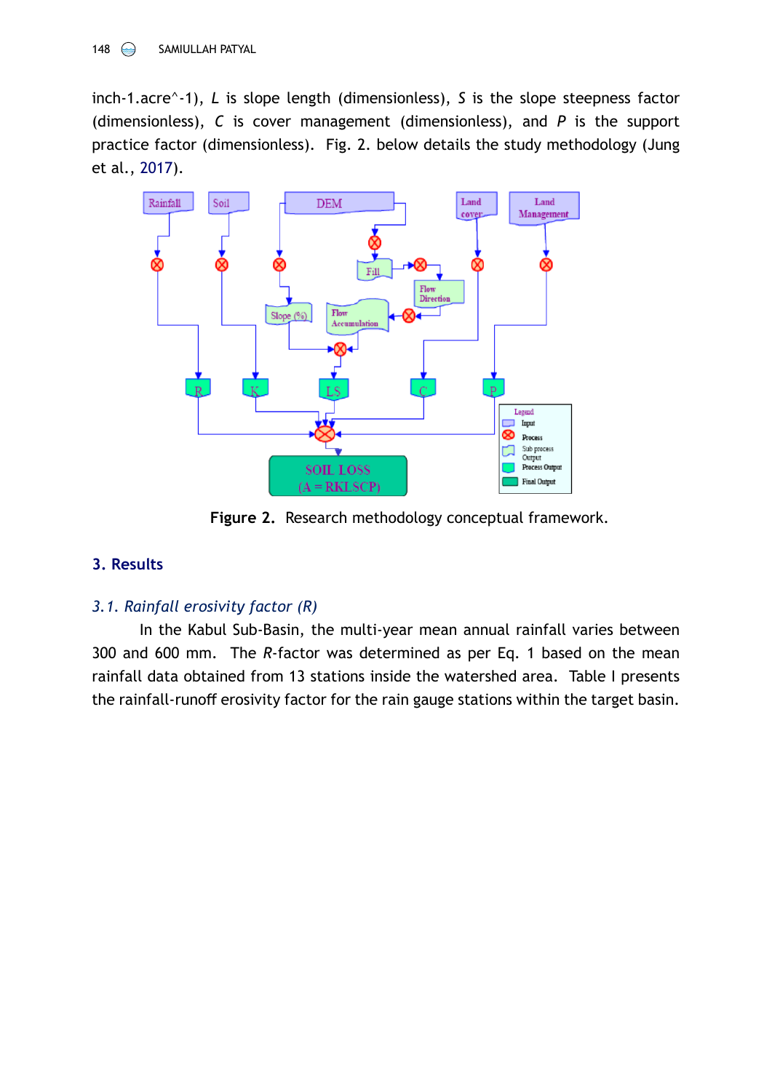inch-1.acre^-1), *L* is slope length (dimensionless), *S* is the slope steepness factor (dimensionless), *C* is cover management (dimensionless), and *P* is the support practice factor (dimensionless). Fig. 2. below details the study methodology (Jung et al., [2017](#page-15-7)).



**Figure 2.** Research methodology conceptual framework.

# **3. Results**

# *3.1. Rainfall erosivity factor (R)*

In the Kabul Sub-Basin, the multi-year mean annual rainfall varies between 300 and 600 mm. The *R*-factor was determined as per Eq. 1 based on the mean rainfall data obtained from 13 stations inside the watershed area. Table I presents the rainfall-runoff erosivity factor for the rain gauge stations within the target basin.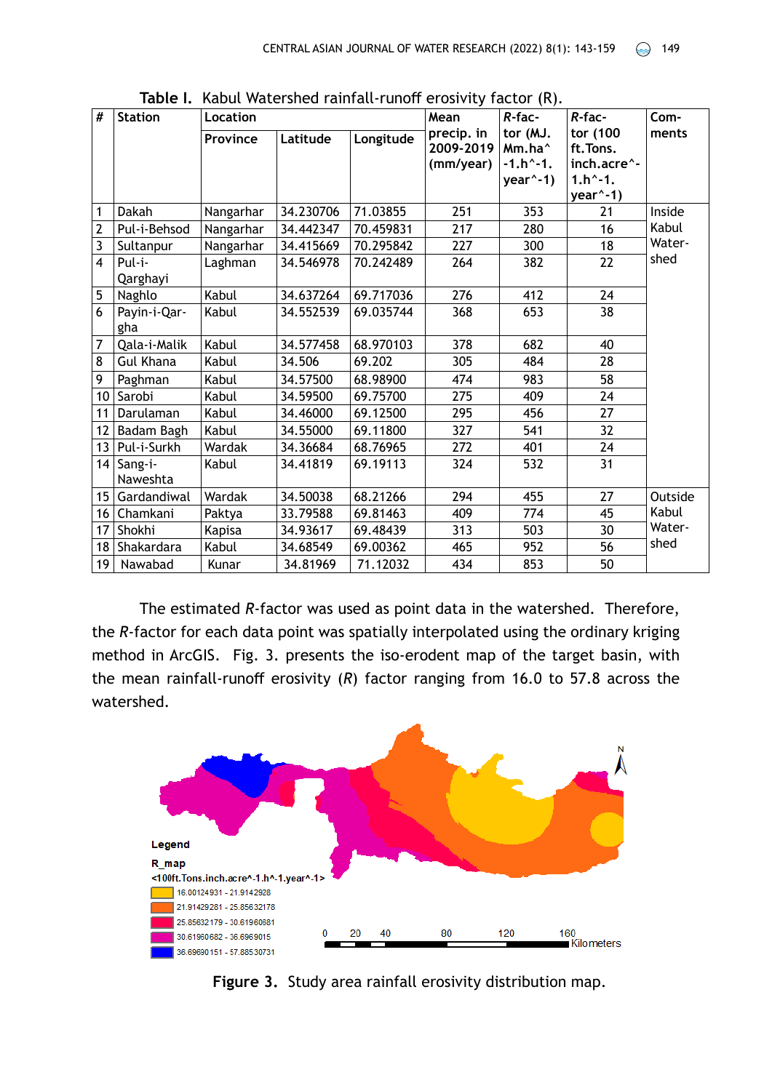| #                       | <b>Station</b>           | Location  |           |           | Mean                                 | $R$ -fac-                                                      | $R$ -fac-                                                          | Com-    |
|-------------------------|--------------------------|-----------|-----------|-----------|--------------------------------------|----------------------------------------------------------------|--------------------------------------------------------------------|---------|
|                         |                          | Province  | Latitude  | Longitude | precip. in<br>2009-2019<br>(mm/year) | tor (MJ.<br>Mm.ha <sup>^</sup><br>$-1.h^{-1}$ .<br>$year^2-1)$ | tor (100<br>ft.Tons.<br>inch.acre^-<br>$1.h^{-1}$ .<br>$year^ -1)$ | ments   |
| 1                       | Dakah                    | Nangarhar | 34.230706 | 71.03855  | 251                                  | 353                                                            | 21                                                                 | Inside  |
| $\overline{\mathbf{c}}$ | Pul-i-Behsod             | Nangarhar | 34.442347 | 70.459831 | 217                                  | 280                                                            | 16                                                                 | Kabul   |
| $\overline{\mathbf{3}}$ | Sultanpur                | Nangarhar | 34.415669 | 70.295842 | 227                                  | 300                                                            | 18                                                                 | Water-  |
| $\overline{4}$          | Pul-i-<br>Qarghayi       | Laghman   | 34.546978 | 70.242489 | 264                                  | 382                                                            | 22                                                                 | shed    |
| 5                       | Naghlo                   | Kabul     | 34.637264 | 69.717036 | 276                                  | 412                                                            | 24                                                                 |         |
| 6                       | Payin-i-Qar-<br>gha      | Kabul     | 34.552539 | 69.035744 | 368                                  | 653                                                            | 38                                                                 |         |
| 7                       | Qala-i-Malik             | Kabul     | 34.577458 | 68.970103 | 378                                  | 682                                                            | 40                                                                 |         |
| 8                       | <b>Gul Khana</b>         | Kabul     | 34.506    | 69.202    | 305                                  | 484                                                            | 28                                                                 |         |
| 9                       | Paghman                  | Kabul     | 34.57500  | 68.98900  | 474                                  | 983                                                            | 58                                                                 |         |
| 10                      | Sarobi                   | Kabul     | 34.59500  | 69.75700  | 275                                  | 409                                                            | 24                                                                 |         |
| 11                      | Darulaman                | Kabul     | 34.46000  | 69.12500  | 295                                  | 456                                                            | 27                                                                 |         |
| 12                      | Badam Bagh               | Kabul     | 34.55000  | 69.11800  | 327                                  | 541                                                            | 32                                                                 |         |
| 13                      | Pul-i-Surkh              | Wardak    | 34.36684  | 68.76965  | 272                                  | 401                                                            | 24                                                                 |         |
|                         | $14$ Sang-i-<br>Naweshta | Kabul     | 34.41819  | 69.19113  | 324                                  | 532                                                            | 31                                                                 |         |
| 15 <sub>1</sub>         | Gardandiwal              | Wardak    | 34.50038  | 68.21266  | 294                                  | 455                                                            | 27                                                                 | Outside |
| 16                      | Chamkani                 | Paktya    | 33.79588  | 69.81463  | 409                                  | 774                                                            | 45                                                                 | Kabul   |
| 17                      | Shokhi                   | Kapisa    | 34.93617  | 69.48439  | 313                                  | 503                                                            | 30                                                                 | Water-  |
| 18                      | Shakardara               | Kabul     | 34.68549  | 69.00362  | 465                                  | 952                                                            | 56                                                                 | shed    |
| 19 <sup>1</sup>         | Nawabad                  | Kunar     | 34.81969  | 71.12032  | 434                                  | 853                                                            | 50                                                                 |         |

**Table I.** Kabul Watershed rainfall-runoff erosivity factor (R).

The estimated *R*-factor was used as point data in the watershed. Therefore, the *R*-factor for each data point was spatially interpolated using the ordinary kriging method in ArcGIS. Fig. 3. presents the iso-erodent map of the target basin, with the mean rainfall-runoff erosivity (*R*) factor ranging from 16.0 to 57.8 across the watershed.



**Figure 3.** Study area rainfall erosivity distribution map.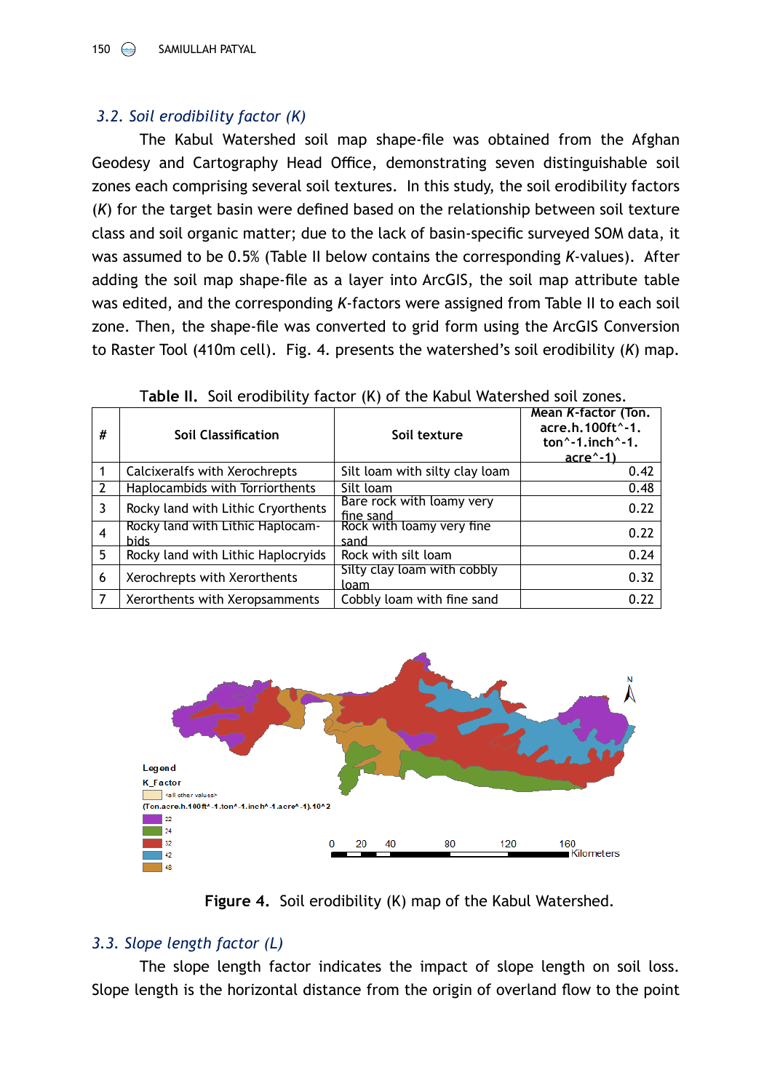## *3.2. Soil erodibility factor (K)*

The Kabul Watershed soil map shape-file was obtained from the Afghan Geodesy and Cartography Head Office, demonstrating seven distinguishable soil zones each comprising several soil textures. In this study, the soil erodibility factors (*K*) for the target basin were defined based on the relationship between soil texture class and soil organic matter; due to the lack of basin-specific surveyed SOM data, it was assumed to be 0.5% (Table II below contains the corresponding *K*-values). After adding the soil map shape-file as a layer into ArcGIS, the soil map attribute table was edited, and the corresponding *K*-factors were assigned from Table II to each soil zone. Then, the shape-file was converted to grid form using the ArcGIS Conversion to Raster Tool (410m cell). Fig. 4. presents the watershed's soil erodibility (*K*) map.

| # | <b>Soil Classification</b>                      | Soil texture                                   | Mean K-factor (Ton.<br>acre.h.100ft^-1.<br>ton $^{\wedge}$ -1, inch $^{\wedge}$ -1,<br><u>acre^-1)</u> |
|---|-------------------------------------------------|------------------------------------------------|--------------------------------------------------------------------------------------------------------|
|   | Calcixeralfs with Xerochrepts                   | Silt loam with silty clay loam                 | 0.42                                                                                                   |
|   | Haplocambids with Torriorthents                 | Silt loam                                      | 0.48                                                                                                   |
| 3 | Rocky land with Lithic Cryorthents              | Bare rock with loamy very                      | 0.22                                                                                                   |
| 4 | Rocky land with Lithic Haplocam-<br><b>bids</b> | fine sand<br>Rock with loamy very fine<br>sand | 0.22                                                                                                   |
| 5 | Rocky land with Lithic Haplocryids              | Rock with silt loam                            | 0.24                                                                                                   |
| 6 | Xerochrepts with Xerorthents                    | Silty clay loam with cobbly<br>loam            | 0.32                                                                                                   |
| 7 | Xerorthents with Xeropsamments                  | Cobbly loam with fine sand                     | 0.22                                                                                                   |

|  |  |  |  | Table II. Soil erodibility factor (K) of the Kabul Watershed soil zones. |
|--|--|--|--|--------------------------------------------------------------------------|
|--|--|--|--|--------------------------------------------------------------------------|



**Figure 4.** Soil erodibility (K) map of the Kabul Watershed.

## *3.3. Slope length factor (L)*

The slope length factor indicates the impact of slope length on soil loss. Slope length is the horizontal distance from the origin of overland flow to the point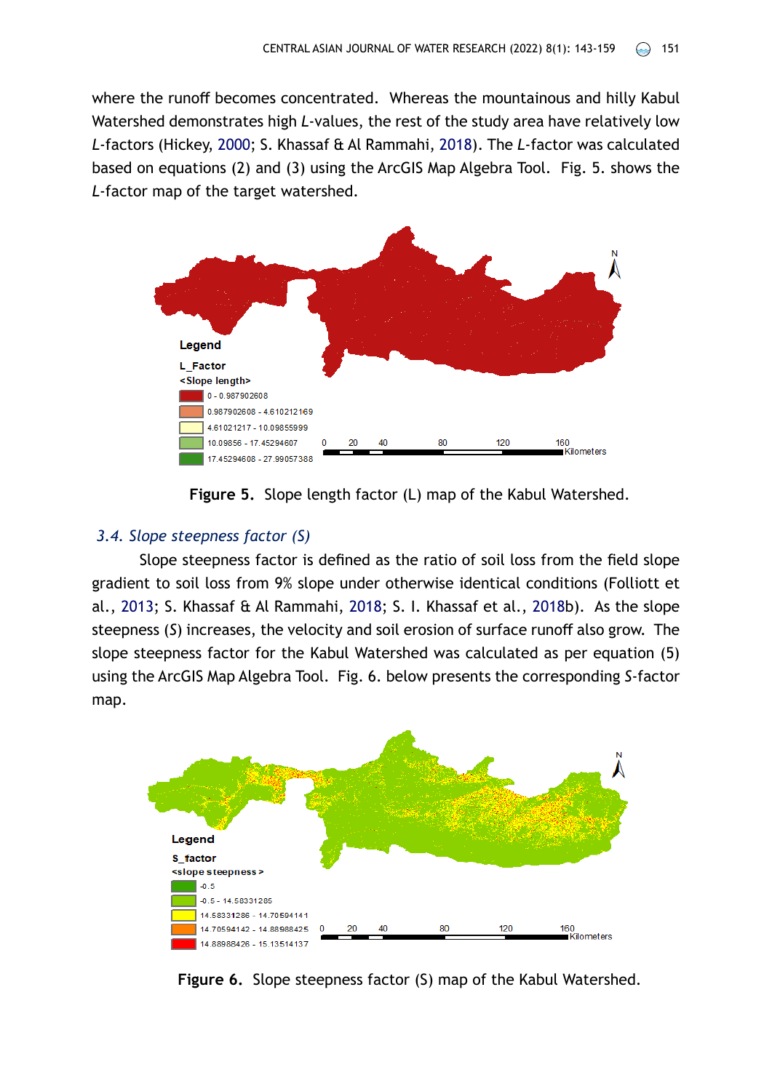where the runoff becomes concentrated. Whereas the mountainous and hilly Kabul Watershed demonstrates high *L*-values, the rest of the study area have relatively low *L*-factors (Hickey, [2000](#page-15-8); S. Khassaf & Al Rammahi, [2018](#page-15-2)). The *L*-factor was calculated based on equations (2) and (3) using the ArcGIS Map Algebra Tool. Fig. 5. shows the *L*-factor map of the target watershed.



**Figure 5.** Slope length factor (L) map of the Kabul Watershed.

### *3.4. Slope steepness factor (S)*

Slope steepness factor is defined as the ratio of soil loss from the field slope gradient to soil loss from 9% slope under otherwise identical conditions (Folliott et al., [2013;](#page-15-9) S. Khassaf & Al Rammahi, [2018;](#page-15-2) S. I. Khassaf et al., [2018b](#page-15-10)). As the slope steepness (*S*) increases, the velocity and soil erosion of surface runoff also grow. The slope steepness factor for the Kabul Watershed was calculated as per equation (5) using the ArcGIS Map Algebra Tool. Fig. 6. below presents the corresponding *S*-factor map.



**Figure 6.** Slope steepness factor (S) map of the Kabul Watershed.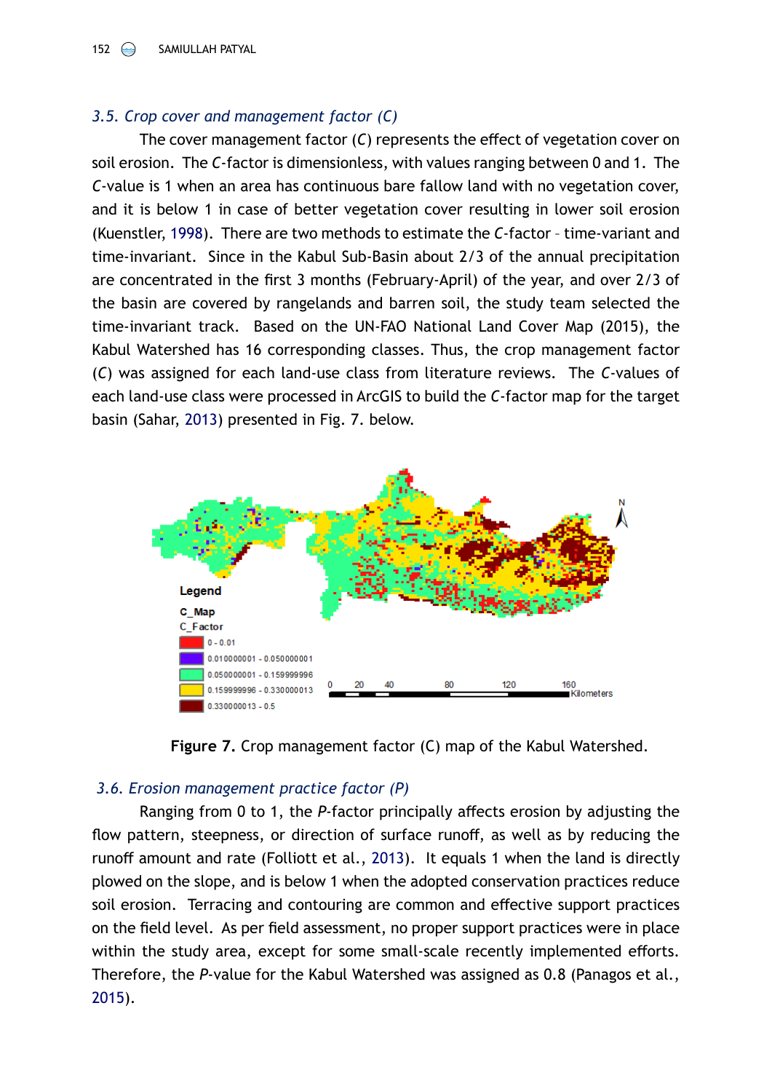## *3.5. Crop cover and management factor (C)*

The cover management factor (*C*) represents the effect of vegetation cover on soil erosion. The *C*-factor is dimensionless, with values ranging between 0 and 1. The *C*-value is 1 when an area has continuous bare fallow land with no vegetation cover, and it is below 1 in case of better vegetation cover resulting in lower soil erosion (Kuenstler, [1998](#page-15-11)). There are two methods to estimate the *C*-factor – time-variant and time-invariant. Since in the Kabul Sub-Basin about 2/3 of the annual precipitation are concentrated in the first 3 months (February-April) of the year, and over 2/3 of the basin are covered by rangelands and barren soil, the study team selected the time-invariant track. Based on the UN-FAO National Land Cover Map (2015), the Kabul Watershed has 16 corresponding classes. Thus, the crop management factor (*C*) was assigned for each land-use class from literature reviews. The *C*-values of each land-use class were processed in ArcGIS to build the *C*-factor map for the target basin (Sahar, [2013\)](#page-16-1) presented in Fig. 7. below.





## *3.6. Erosion management practice factor (P)*

Ranging from 0 to 1, the *P*-factor principally affects erosion by adjusting the flow pattern, steepness, or direction of surface runoff, as well as by reducing the runoff amount and rate (Folliott et al., [2013\)](#page-15-9). It equals 1 when the land is directly plowed on the slope, and is below 1 when the adopted conservation practices reduce soil erosion. Terracing and contouring are common and effective support practices on the field level. As per field assessment, no proper support practices were in place within the study area, except for some small-scale recently implemented efforts. Therefore, the *P*-value for the Kabul Watershed was assigned as 0.8 (Panagos et al., [2015](#page-16-2)).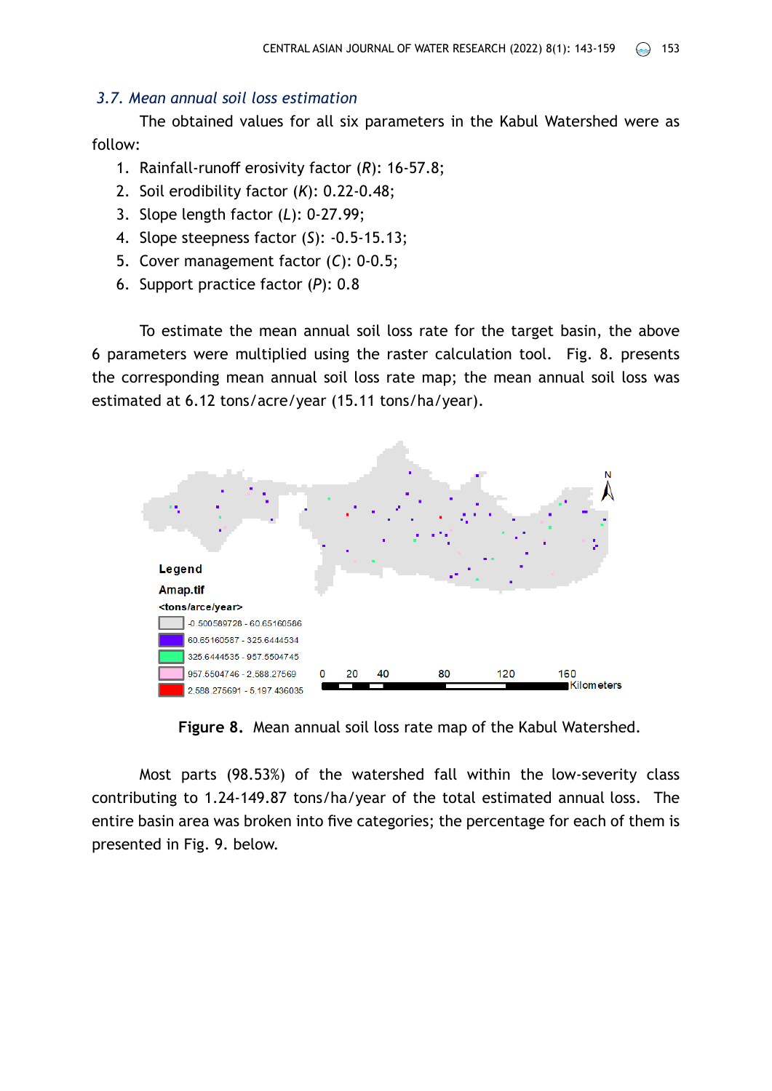### *3.7. Mean annual soil loss estimation*

The obtained values for all six parameters in the Kabul Watershed were as follow:

- 1. Rainfall-runoff erosivity factor (*R*): 16-57.8;
- 2. Soil erodibility factor (*K*): 0.22-0.48;
- 3. Slope length factor (*L*): 0-27.99;
- 4. Slope steepness factor (*S*): -0.5-15.13;
- 5. Cover management factor (*C*): 0-0.5;
- 6. Support practice factor (*P*): 0.8

To estimate the mean annual soil loss rate for the target basin, the above 6 parameters were multiplied using the raster calculation tool. Fig. 8. presents the corresponding mean annual soil loss rate map; the mean annual soil loss was estimated at 6.12 tons/acre/year (15.11 tons/ha/year).



**Figure 8.** Mean annual soil loss rate map of the Kabul Watershed.

Most parts (98.53%) of the watershed fall within the low-severity class contributing to 1.24-149.87 tons/ha/year of the total estimated annual loss. The entire basin area was broken into five categories; the percentage for each of them is presented in Fig. 9. below.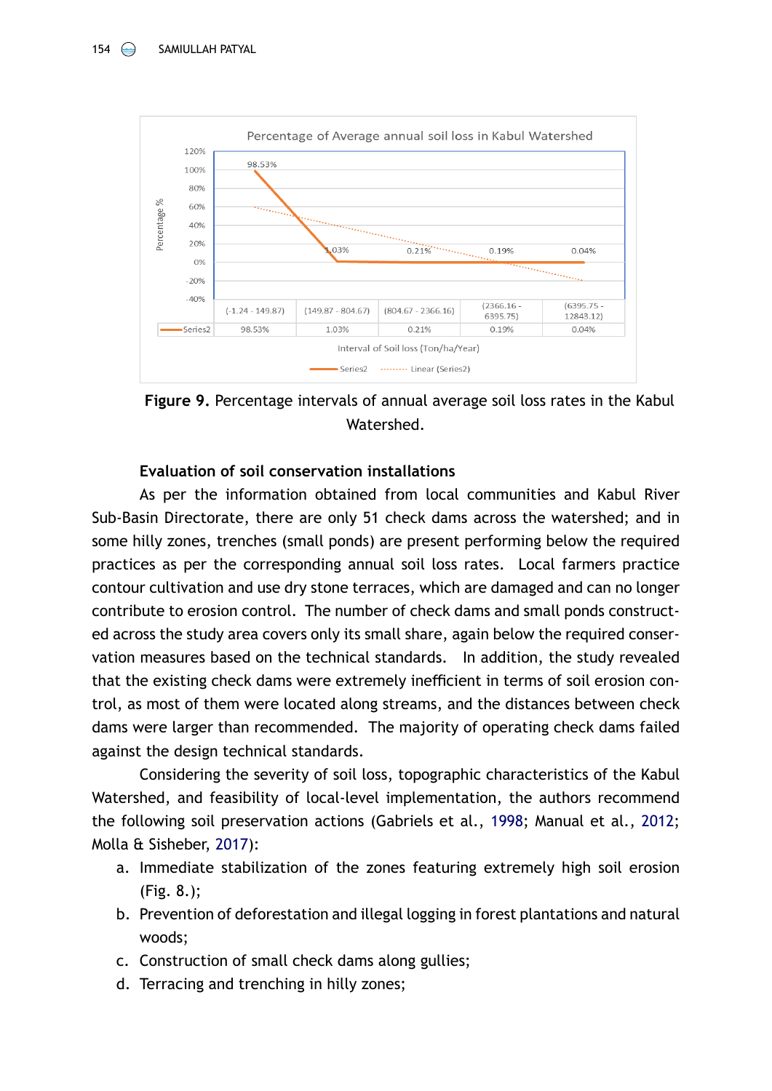

**Figure 9.** Percentage intervals of annual average soil loss rates in the Kabul Watershed.

### **Evaluation of soil conservation installations**

As per the information obtained from local communities and Kabul River Sub-Basin Directorate, there are only 51 check dams across the watershed; and in some hilly zones, trenches (small ponds) are present performing below the required practices as per the corresponding annual soil loss rates. Local farmers practice contour cultivation and use dry stone terraces, which are damaged and can no longer contribute to erosion control. The number of check dams and small ponds constructed across the study area covers only its small share, again below the required conservation measures based on the technical standards. In addition, the study revealed that the existing check dams were extremely inefficient in terms of soil erosion control, as most of them were located along streams, and the distances between check dams were larger than recommended. The majority of operating check dams failed against the design technical standards.

Considering the severity of soil loss, topographic characteristics of the Kabul Watershed, and feasibility of local-level implementation, the authors recommend the following soil preservation actions (Gabriels et al., [1998;](#page-15-12) Manual et al., [2012](#page-15-13); Molla & Sisheber, [2017](#page-15-14)):

- a. Immediate stabilization of the zones featuring extremely high soil erosion (Fig. 8.);
- b. Prevention of deforestation and illegal logging in forest plantations and natural woods;
- c. Construction of small check dams along gullies;
- d. Terracing and trenching in hilly zones;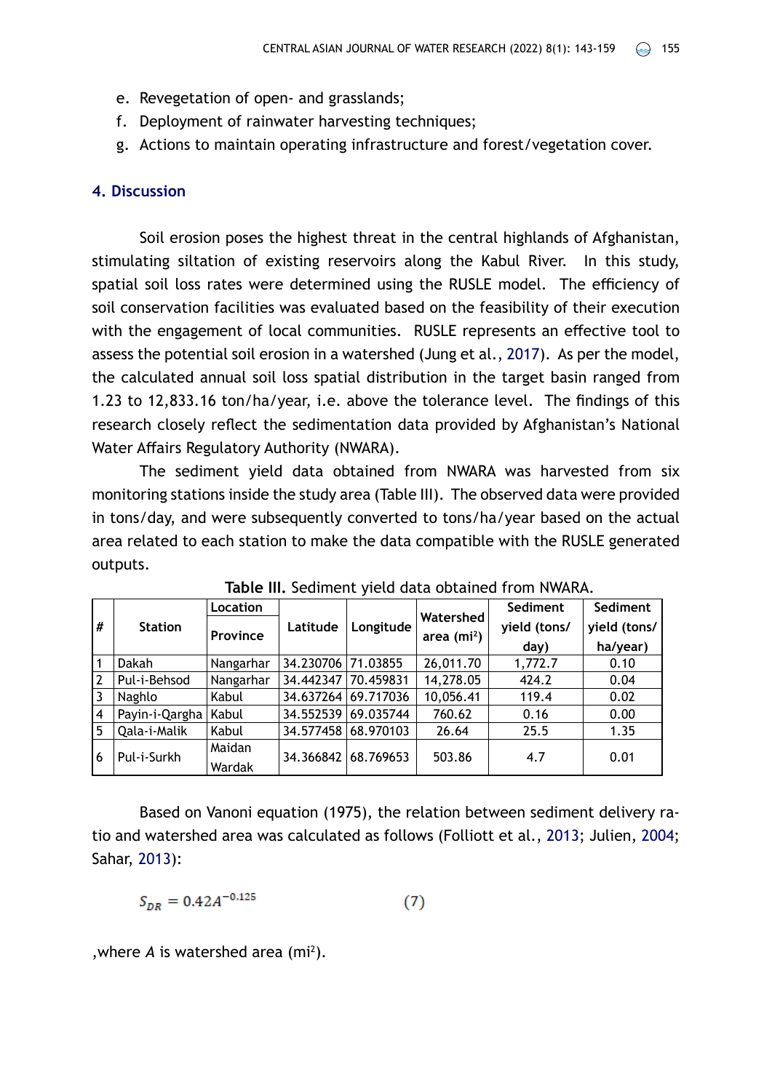- e. Revegetation of open- and grasslands;
- f. Deployment of rainwater harvesting techniques;
- g. Actions to maintain operating infrastructure and forest/vegetation cover.

### **4. Discussion**

Soil erosion poses the highest threat in the central highlands of Afghanistan, stimulating siltation of existing reservoirs along the Kabul River. In this study, spatial soil loss rates were determined using the RUSLE model. The efficiency of soil conservation facilities was evaluated based on the feasibility of their execution with the engagement of local communities. RUSLE represents an effective tool to assess the potential soil erosion in a watershed (Jung et al., [2017](#page-15-7)). As per the model, the calculated annual soil loss spatial distribution in the target basin ranged from 1.23 to 12,833.16 ton/ha/year, i.e. above the tolerance level. The findings of this research closely reflect the sedimentation data provided by Afghanistan's National Water Affairs Regulatory Authority (NWARA).

The sediment yield data obtained from NWARA was harvested from six monitoring stations inside the study area (Table III). The observed data were provided in tons/day, and were subsequently converted to tons/ha/year based on the actual area related to each station to make the data compatible with the RUSLE generated outputs.

|                | <b>Station</b> | Location  |           | Longitude | Watershed   | Sediment     | Sediment     |
|----------------|----------------|-----------|-----------|-----------|-------------|--------------|--------------|
| #              |                | Province  | Latitude  |           | area $(m2)$ | yield (tons/ | yield (tons/ |
|                |                |           |           |           |             | day)         | ha/year)     |
| 1              | Dakah          | Nangarhar | 34.230706 | 71.03855  | 26,011.70   | 1,772.7      | 0.10         |
| $\overline{2}$ | Pul-i-Behsod   | Nangarhar | 34.442347 | 70.459831 | 14,278.05   | 424.2        | 0.04         |
| 3              | Naghlo         | Kabul     | 34.637264 | 69.717036 | 10,056.41   | 119.4        | 0.02         |
| $\overline{4}$ | Payin-i-Qargha | Kabul     | 34.552539 | 69.035744 | 760.62      | 0.16         | 0.00         |
| 5              | Qala-i-Malik   | Kabul     | 34.577458 | 68.970103 | 26.64       | 25.5         | 1.35         |
| 6              | Pul-i-Surkh    | Maidan    | 34.366842 | 68.769653 | 503.86      | 4.7          | 0.01         |
|                |                | Wardak    |           |           |             |              |              |

**Table III.** Sediment yield data obtained from NWARA.

Based on Vanoni equation (1975), the relation between sediment delivery ratio and watershed area was calculated as follows (Folliott et al., [2013;](#page-15-9) Julien, [2004](#page-15-6); Sahar, [2013\)](#page-16-1):

$$
S_{DR} = 0.42A^{-0.125} \tag{7}
$$

, where  $A$  is watershed area  $(m<sup>2</sup>)$ .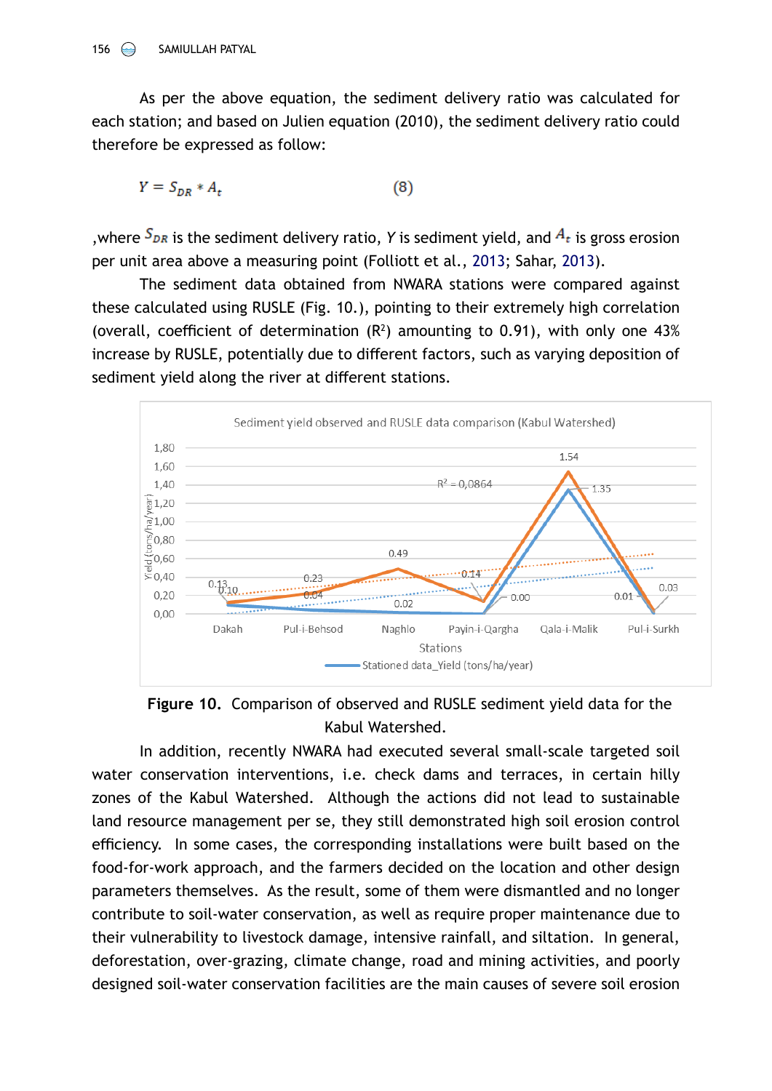As per the above equation, the sediment delivery ratio was calculated for each station; and based on Julien equation (2010), the sediment delivery ratio could therefore be expressed as follow:

$$
Y = S_{DR} * A_t \tag{8}
$$

, where  $S_{DR}$  is the sediment delivery ratio, *Y* is sediment yield, and  $A_t$  is gross erosion per unit area above a measuring point (Folliott et al., [2013;](#page-15-9) Sahar, [2013\)](#page-16-1).

The sediment data obtained from NWARA stations were compared against these calculated using RUSLE (Fig. 10.), pointing to their extremely high correlation (overall, coefficient of determination  $(R^2)$  amounting to 0.91), with only one 43% increase by RUSLE, potentially due to different factors, such as varying deposition of sediment yield along the river at different stations.



**Figure 10.** Comparison of observed and RUSLE sediment yield data for the Kabul Watershed.

In addition, recently NWARA had executed several small-scale targeted soil water conservation interventions, i.e. check dams and terraces, in certain hilly zones of the Kabul Watershed. Although the actions did not lead to sustainable land resource management per se, they still demonstrated high soil erosion control efficiency. In some cases, the corresponding installations were built based on the food-for-work approach, and the farmers decided on the location and other design parameters themselves. As the result, some of them were dismantled and no longer contribute to soil-water conservation, as well as require proper maintenance due to their vulnerability to livestock damage, intensive rainfall, and siltation. In general, deforestation, over-grazing, climate change, road and mining activities, and poorly designed soil-water conservation facilities are the main causes of severe soil erosion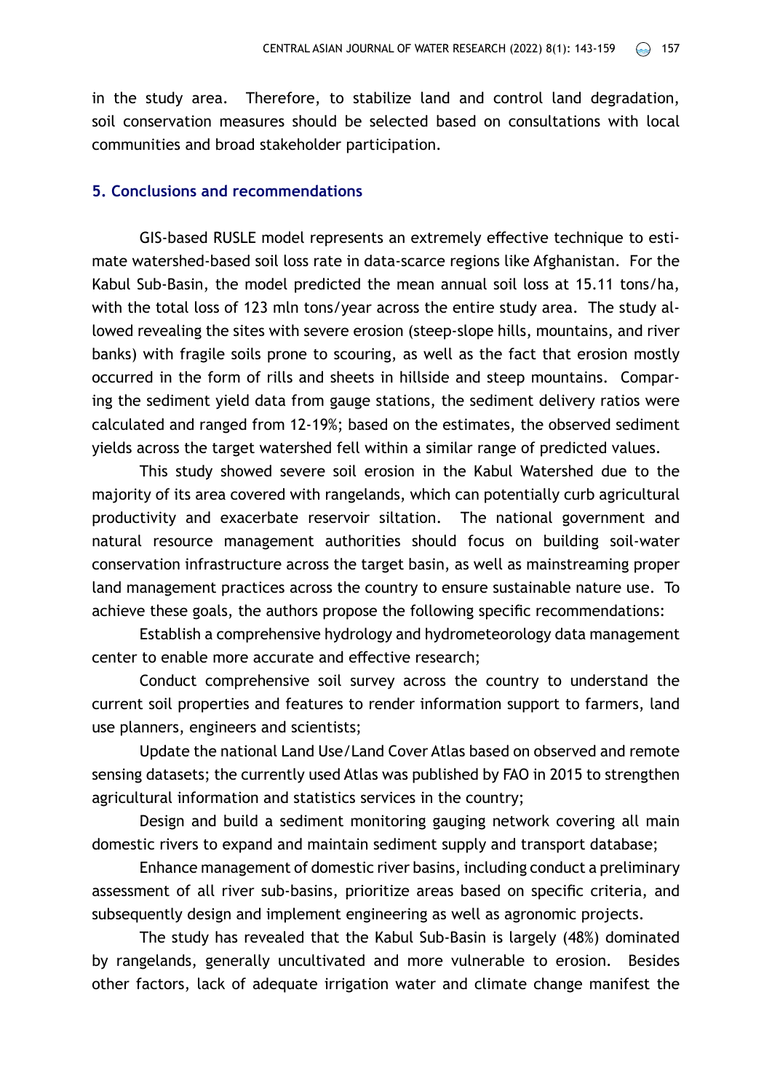in the study area. Therefore, to stabilize land and control land degradation, soil conservation measures should be selected based on consultations with local communities and broad stakeholder participation.

#### **5. Conclusions and recommendations**

GIS-based RUSLE model represents an extremely effective technique to estimate watershed-based soil loss rate in data-scarce regions like Afghanistan. For the Kabul Sub-Basin, the model predicted the mean annual soil loss at 15.11 tons/ha, with the total loss of 123 mln tons/vear across the entire study area. The study allowed revealing the sites with severe erosion (steep-slope hills, mountains, and river banks) with fragile soils prone to scouring, as well as the fact that erosion mostly occurred in the form of rills and sheets in hillside and steep mountains. Comparing the sediment yield data from gauge stations, the sediment delivery ratios were calculated and ranged from 12-19%; based on the estimates, the observed sediment yields across the target watershed fell within a similar range of predicted values.

This study showed severe soil erosion in the Kabul Watershed due to the majority of its area covered with rangelands, which can potentially curb agricultural productivity and exacerbate reservoir siltation. The national government and natural resource management authorities should focus on building soil-water conservation infrastructure across the target basin, as well as mainstreaming proper land management practices across the country to ensure sustainable nature use. To achieve these goals, the authors propose the following specific recommendations:

Establish a comprehensive hydrology and hydrometeorology data management center to enable more accurate and effective research;

Conduct comprehensive soil survey across the country to understand the current soil properties and features to render information support to farmers, land use planners, engineers and scientists;

Update the national Land Use/Land Cover Atlas based on observed and remote sensing datasets; the currently used Atlas was published by FAO in 2015 to strengthen agricultural information and statistics services in the country;

Design and build a sediment monitoring gauging network covering all main domestic rivers to expand and maintain sediment supply and transport database;

Enhance management of domestic river basins, including conduct a preliminary assessment of all river sub-basins, prioritize areas based on specific criteria, and subsequently design and implement engineering as well as agronomic projects.

The study has revealed that the Kabul Sub-Basin is largely (48%) dominated by rangelands, generally uncultivated and more vulnerable to erosion. Besides other factors, lack of adequate irrigation water and climate change manifest the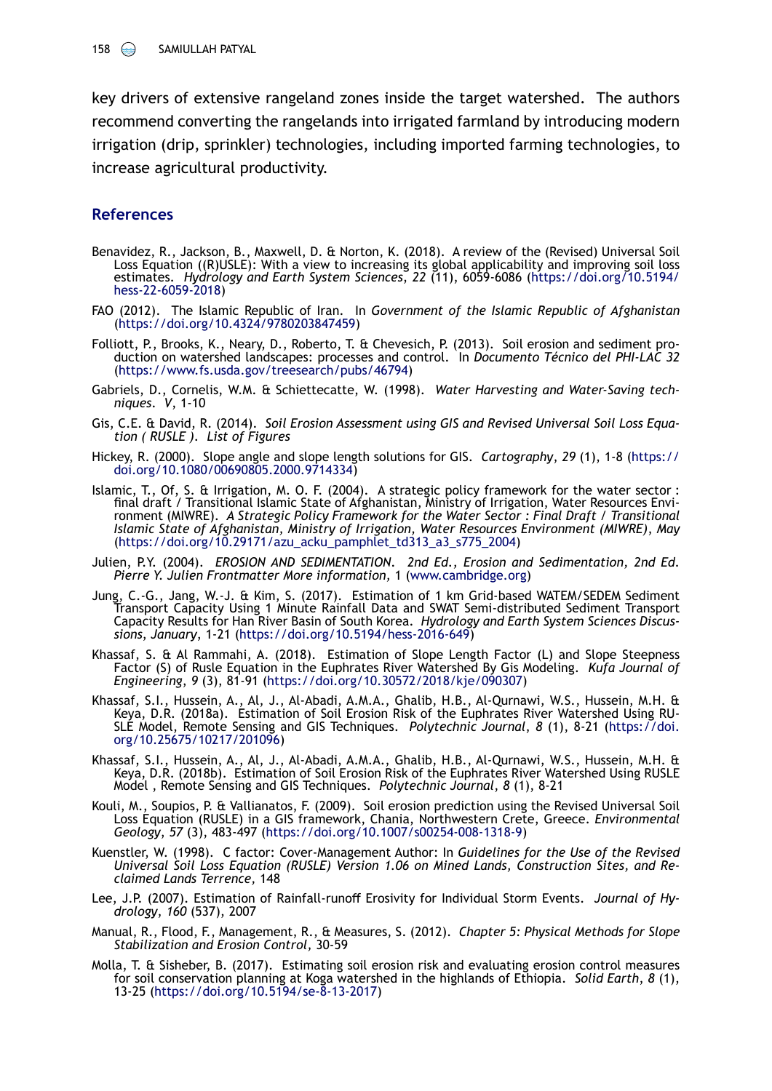key drivers of extensive rangeland zones inside the target watershed. The authors recommend converting the rangelands into irrigated farmland by introducing modern irrigation (drip, sprinkler) technologies, including imported farming technologies, to increase agricultural productivity.

### **References**

- <span id="page-15-4"></span>Benavidez, R., Jackson, B., Maxwell, D. & Norton, K. (2018). A review of the (Revised) Universal Soil Loss Equation ((R)USLE): With a view to increasing its global applicability and improving soil loss estimates. *Hydrology and Earth System Sciences*, *22* (11), 6059-6086 ([https://doi.org/10.5194/](https://doi.org/10.5194/ hess-22-6059-2018) [hess-22-6059-2018](https://doi.org/10.5194/ hess-22-6059-2018))
- <span id="page-15-0"></span>FAO (2012). The Islamic Republic of Iran. In *Government of the Islamic Republic of Afghanistan* (<https://doi.org/10.4324/9780203847459>)
- <span id="page-15-9"></span>Folliott, P., Brooks, K., Neary, D., Roberto, T. & Chevesich, P. (2013). Soil erosion and sediment pro- duction on watershed landscapes: processes and control. In *Documento Técnico del PHI-LAC 32*  ([https://www.fs.usda.gov/treesearch/pubs/46794\)](https://www.fs.usda.gov/treesearch/pubs/46794)
- <span id="page-15-12"></span>Gabriels, D., Cornelis, W.M. & Schiettecatte, W. (1998). *Water Harvesting and Water-Saving techniques*. *V*, 1-10
- <span id="page-15-5"></span>Gis, C.E. & David, R. (2014). *Soil Erosion Assessment using GIS and Revised Universal Soil Loss Equation ( RUSLE ). List of Figures*
- <span id="page-15-8"></span>Hickey, R. (2000). Slope angle and slope length solutions for GIS. *Cartography*, *29* (1), 1-8 [\(https://](https://doi.org/10.1080/00690805.2000.9714334) [doi.org/10.1080/00690805.2000.9714334](https://doi.org/10.1080/00690805.2000.9714334))
- Islamic, T., Of, S. & Irrigation, M. O. F. (2004). A strategic policy framework for the water sector : final draft / Transitional Islamic State of Afghanistan, Ministry of Irrigation, Water Resources Environment (MIWRE). *A Strategic Policy Framework for the Water Sector : Final Draft / Transitional Islamic State of Afghanistan, Ministry of Irrigation, Water Resources Environment (MIWRE)*, *May*  ([https://doi.org/10.29171/azu\\_acku\\_pamphlet\\_td313\\_a3\\_s775\\_2004](https://doi.org/10.29171/azu_acku_pamphlet_td313_a3_s775_2004))
- <span id="page-15-6"></span>Julien, P.Y. (2004). *EROSION AND SEDIMENTATION. 2nd Ed., Erosion and Sedimentation, 2nd Ed. Pierre Y. Julien Frontmatter More information,* 1 [\(www.cambridge.org](http://www.cambridge.org))
- <span id="page-15-7"></span>Jung, C.-G., Jang, W.-J. & Kim, S. (2017). Estimation of 1 km Grid-based WATEM/SEDEM Sediment Transport Capacity Using 1 Minute Rainfall Data and SWAT Semi-distributed Sediment Transport Capacity Results for Han River Basin of South Korea. *Hydrology and Earth System Sciences Discus- sions*, *January*, 1-21 (<https://doi.org/10.5194/hess-2016-649>)
- <span id="page-15-2"></span>Khassaf, S. & Al Rammahi, A. (2018). Estimation of Slope Length Factor (L) and Slope Steepness Factor (S) of Rusle Equation in the Euphrates River Watershed By Gis Modeling. *Kufa Journal of Engineering*, *9* (3), 81-91 [\(https://doi.org/10.30572/2018/kje/090307](https://doi.org/10.30572/2018/kje/090307))
- <span id="page-15-3"></span>Khassaf, S.I., Hussein, A., Al, J., Al-Abadi, A.M.A., Ghalib, H.B., Al-Qurnawi, W.S., Hussein, M.H. & Keya, D.R. (2018a). Estimation of Soil Erosion Risk of the Euphrates River Watershed Using RU-SLE Model, Remote Sensing and GIS Techniques. *Polytechnic Journal*, *8* (1), 8-21 ([https://doi.](https://doi.org/10.25675/10217/201096) [org/10.25675/10217/201096\)](https://doi.org/10.25675/10217/201096)
- <span id="page-15-10"></span>Khassaf, S.I., Hussein, A., Al, J., Al-Abadi, A.M.A., Ghalib, H.B., Al-Qurnawi, W.S., Hussein, M.H. & Keya, D.R. (2018b). Estimation of Soil Erosion Risk of the Euphrates River Watershed Using RUSLE Model , Remote Sensing and GIS Techniques. *Polytechnic Journal*, *8* (1), 8-21
- Kouli, M., Soupios, P. & Vallianatos, F. (2009). Soil erosion prediction using the Revised Universal Soil Loss Equation (RUSLE) in a GIS framework, Chania, Northwestern Crete, Greece. *Environmental Geology*, *57* (3), 483-497 [\(https://doi.org/10.1007/s00254-008-1318-9\)](https://doi.org/10.1007/s00254-008-1318-9)
- <span id="page-15-11"></span>Kuenstler, W. (1998). C factor: Cover-Management Author: In *Guidelines for the Use of the Revised Universal Soil Loss Equation (RUSLE) Version 1.06 on Mined Lands, Construction Sites, and Reclaimed Lands Terrence,* 148
- <span id="page-15-1"></span>Lee, J.P. (2007). Estimation of Rainfall-runoff Erosivity for Individual Storm Events. *Journal of Hydrology*, *160* (537), 2007
- <span id="page-15-13"></span>Manual, R., Flood, F., Management, R., & Measures, S. (2012). *Chapter 5: Physical Methods for Slope Stabilization and Erosion Control,* 30-59
- <span id="page-15-14"></span>Molla, T. & Sisheber, B. (2017). Estimating soil erosion risk and evaluating erosion control measures for soil conservation planning at Koga watershed in the highlands of Ethiopia. *Solid Earth*, *8* (1), 13-25 [\(https://doi.org/10.5194/se-8-13-2017\)](https://doi.org/10.5194/se-8-13-2017)